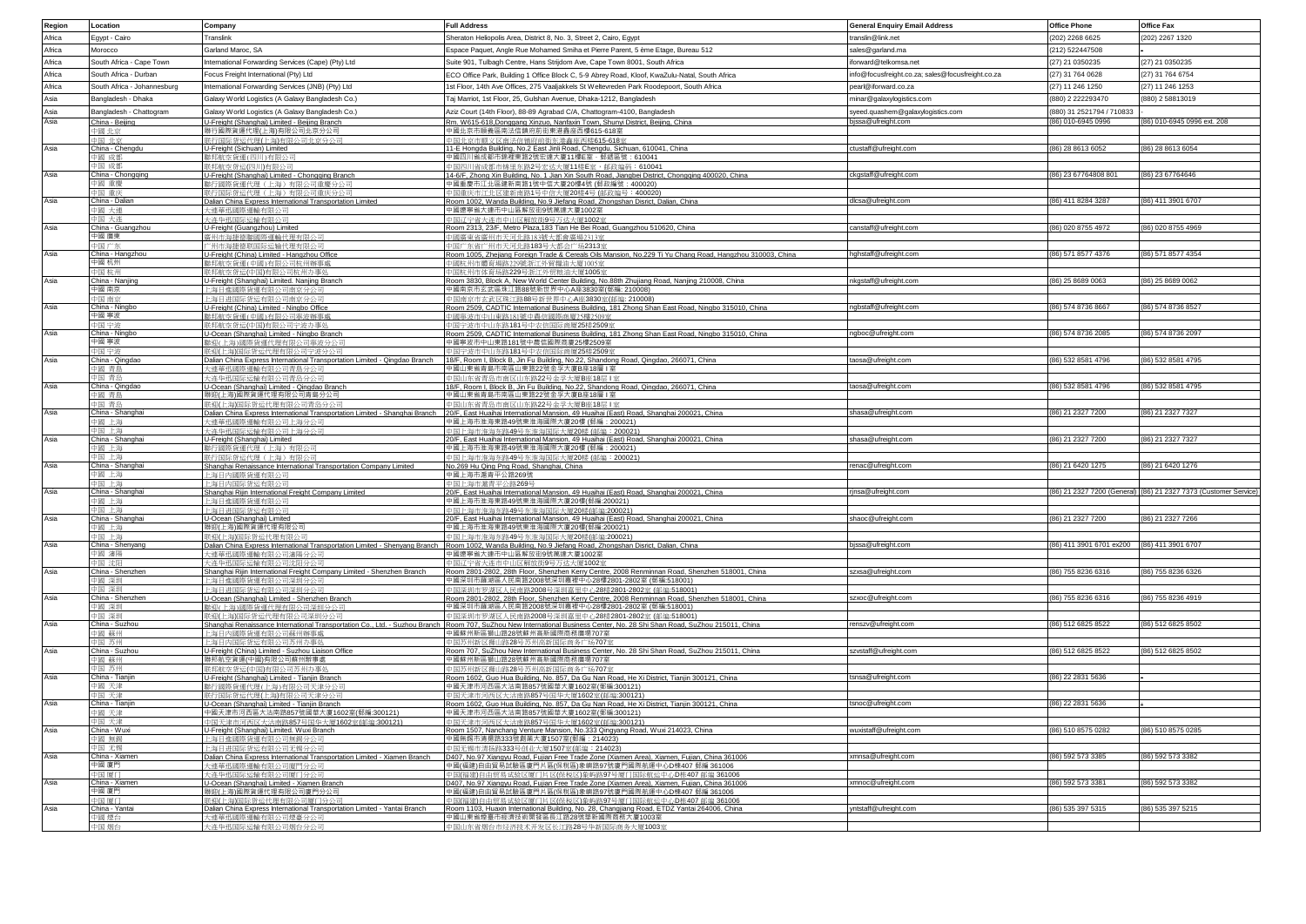| Region | Location                    | Company                                                                                              | <b>Full Address</b>                                                                                                                                                                                      | <b>General Enquiry Email Address</b>              | <b>Office Phone</b>                         | Office Fax                                                       |
|--------|-----------------------------|------------------------------------------------------------------------------------------------------|----------------------------------------------------------------------------------------------------------------------------------------------------------------------------------------------------------|---------------------------------------------------|---------------------------------------------|------------------------------------------------------------------|
| Africa | Egypt - Cairo               | Translink                                                                                            | Sheraton Heliopolis Area, District 8, No. 3, Street 2, Cairo, Egypt                                                                                                                                      | translin@link.net                                 | (202) 2268 6625                             | (202) 2267 1320                                                  |
| Africa | Morocco                     | Garland Maroc, SA                                                                                    | Espace Paquet, Angle Rue Mohamed Smiha et Pierre Parent, 5 ème Etage, Bureau 512                                                                                                                         | sales@garland.ma                                  | (212) 522447508                             |                                                                  |
| Africa | South Africa - Cape Town    | nternational Forwarding Services (Cape) (Pty) Ltd                                                    | Suite 901, Tulbagh Centre, Hans Strijdom Ave, Cape Town 8001, South Africa                                                                                                                               | iforward@telkomsa.net                             | (27) 21 0350235                             | (27) 21 0350235                                                  |
| Africa | South Africa - Durban       | Focus Freight International (Pty) Ltd                                                                | ECO Office Park, Building 1 Office Block C, 5-9 Abrey Road, Kloof, KwaZulu-Natal, South Africa                                                                                                           | info@focusfreight.co.za; sales@focusfreight.co.za | (27) 31 764 0628                            | (27) 31 764 6754                                                 |
|        |                             |                                                                                                      |                                                                                                                                                                                                          |                                                   |                                             |                                                                  |
| Africa | South Africa - Johannesburg | International Forwarding Services (JNB) (Pty) Ltd                                                    | 1st Floor, 14th Ave Offices, 275 Vaaljakkels St Weltevreden Park Roodepoort, South Africa                                                                                                                | pearl@iforward.co.za                              | (27) 11 246 1250                            | (27) 11 246 1253                                                 |
| Asia   | Bangladesh - Dhaka          | Galaxy World Logistics (A Galaxy Bangladesh Co.)                                                     | Taj Marriot, 1st Floor, 25, Gulshan Avenue, Dhaka-1212, Bangladesh                                                                                                                                       | minar@galaxylogistics.com                         | (880) 2 222293470                           | (880) 2 58813019                                                 |
| Asia   | Bangladesh - Chattogram     | Galaxy World Logistics (A Galaxy Bangladesh Co.)                                                     | Aziz Court (14th Floor), 88-89 Agrabad C/A, Chattogram-4100, Bangladesh                                                                                                                                  | syeed.quashem@galaxylogistics.com                 | (880) 31 2521794 / 710833                   |                                                                  |
| Asia   | China - Beijing             | U-Freight (Shanghai) Limited - Beijing Branch                                                        | Rm. W615-618, Donggang Xinzuo, Nanfaxin Town, Shunyi District, Beijing, China                                                                                                                            | ojssa@ufreight.com                                | (86) 010-6945 0996                          | (86) 010-6945 0996 ext. 208                                      |
|        | 中國 十定<br>国 非責               | 職行國際貨運代理(上海)有限公司北京分公司<br>群行国际货运代理(上海)有限公司非竞分公司                                                       | 中國北京市順義區南法信鎮府前街東港鑫座西樓615-618室                                                                                                                                                                            |                                                   |                                             |                                                                  |
| Asia   | China - Chenadu             | U-Freight (Sichuan) Limited                                                                          | 中国北京市顺义区南法信镇府前街东港鑫座西楼615-618室<br>11-E Hongda Building, No.2 East Jinli Road, Chengdu, Sichuan, 610041, China                                                                                             | ctustaff@ufreight.com                             | (86) 28 8613 6052                           | (86) 28 8613 6054                                                |
|        | 國 成都                        | 聯邦航空貨運(四川)有限公司                                                                                       | 中國四川省成都市錦裡東路2號宏達大廈11樓E室·郵遞區號:610041                                                                                                                                                                      |                                                   |                                             |                                                                  |
|        | 国 成者                        | (邦航空货运(四川)有限公司                                                                                       | 中国四川省成都市锦里东路2号宏达大厦11楼E室,邮政编码:610041                                                                                                                                                                      |                                                   |                                             |                                                                  |
| Asia   | China - Chongging<br>□國 重慶  | U-Freight (Shanghai) Limited - Chongqing Branch<br>雕行國際貨運代理(上海)有限公司重慶分公司                             | 14-6/F, Zhong Xin Building, No. 1 Jian Xin South Road, Jiangbei District, Chongqing 400020, China<br>中國重慶市汀北區建新南路1號中信大廈20樓4號 (郵政編號: 400020)                                                              | ckgstaff@ufreight.com                             | (86) 23 67764808 801                        | (86) 23 67764646                                                 |
|        | 国 重日                        | (行国际货运代理 (上海) 有限公                                                                                    | 国重庆市江北区建新南路1号中信大厦20楼4号 (邮政编号: 400020                                                                                                                                                                     |                                                   |                                             |                                                                  |
| Asia   | hina - Daliar               | Dalian China Express International Transportation Limited                                            | Room 1002, Wanda Building, No.9 Jiefang Road, Zhongshan Disrict, Dalian, China                                                                                                                           | llcsa@ufreight.com                                | (86) 411 8284 3287                          | (86) 411 3901 6707                                               |
|        | 國 大連                        | 大連華汛國際運輸有限公司                                                                                         | 中國療寧省大連市中山區解放街9號萬達大廈1002室                                                                                                                                                                                |                                                   |                                             |                                                                  |
| Asia   | 国 大连<br>China - Guangzhou   | 大连华迅国际运输有限公司<br>U-Freight (Guangzhou) Limited                                                        | 中国辽宁省大连市中山区解放街9号万达大厦1002室<br>Room 2313, 23/F, Metro Plaza, 183 Tian He Bei Road, Guangzhou 510620, China                                                                                                 | canstaff@ufreight.com                             | (86) 020 8755 4972                          | (86) 020 8755 4969                                               |
|        | 中國 廣東                       | 責州市海捷德聯國際運輸代理有限公                                                                                     | 中國廣東省廣州市天河北路183號大都會廣場2313室                                                                                                                                                                               |                                                   |                                             |                                                                  |
|        | 国广な                         | 二州市海捷德联国院运输代理有限公                                                                                     | 中国广东省广州市天河北路183号大都会广场2313室                                                                                                                                                                               |                                                   |                                             |                                                                  |
| Asia   | China - Hangzhou            | U-Freight (China) Limited - Hangzhou Office                                                          | Room 1005, Zhejiang Foreign Trade & Cereals Oils Mansion, No.229 Ti Yu Chang Road, Hangzhou 310003, China                                                                                                | hghstaff@ufreight.com                             | (86) 571 8577 4376                          | (86) 571 8577 4354                                               |
|        | 中國 杭州                       | 誰邦航空貨運(中國)有限公司杭州辦事處                                                                                  | 中國杭州市體育場路229號浙江外留糧油大廈1005室<br>市休育场路229号浙江外贸粮油大厦1005室                                                                                                                                                     |                                                   |                                             |                                                                  |
| Asia   | China - Nanjing             | U-Freight (Shanghai) Limited. Nanjing Branch                                                         | Room 3830, Block A, New World Center Building, No.88th Zhujiang Road, Nanjing 210008, China                                                                                                              | nkgstaff@ufreight.com                             | (86) 25 8689 0063                           | (86) 25 8689 0062                                                |
|        | 中國 南京                       | 上海日進國際貨運有限公司南宣分公司                                                                                    | 中國南京市玄武區珠江路88號新世界中心A座3830室/郵編·210008)                                                                                                                                                                    |                                                   |                                             |                                                                  |
|        | 国 南京                        | 上海日进国际货运有限公司南京分公司                                                                                    | 中国南京市玄武区珠江路88号新世界中心A座3830室(邮编: 210008)                                                                                                                                                                   |                                                   |                                             |                                                                  |
| Asia   | China - Ningbo<br>中國 寧波     | J-Freight (China) Limited - Ningbo Office<br>離邦航空貨運(中國)有限公司率波辦事處                                     | Room 2509, CADTIC International Business Building, 181 Zhong Shan East Road, Ningbo 315010, China<br>中國塞波市中山東路181號中農信國際商庫25機2509室                                                                        | ngbstaff@ufreight.com                             | (86) 574 8736 8667                          | (86) 574 8736 8527                                               |
|        | 国宁波                         | 联邦航空货运(中国)有限公司宁波办事处                                                                                  | 中国宁波市中山东路181号中农信国际商厦25楼2509室                                                                                                                                                                             |                                                   |                                             |                                                                  |
| Asia   | China - Ningbo              | U-Ocean (Shanghai) Limited - Ningbo Branch                                                           | Room 2509, CADTIC International Business Building, 181 Zhong Shan East Road, Ningbo 315010, China                                                                                                        | ngboc@ufreight.com                                | (86) 574 8736 2085                          | (86) 574 8736 2097                                               |
|        | 中國 寧波                       | 離迎(上海)國際貨運代理有限公司寧波分公司                                                                                | 中國寧波市中山東路181號中農信國際商廈25樓2509室                                                                                                                                                                             |                                                   |                                             |                                                                  |
|        | 国 宁讷                        | 联迎(上海)国际货运代理有限公司宁波分公司                                                                                | 中国宁波市中山东路181号中农信国际商厦25楼2509室                                                                                                                                                                             |                                                   | (86) 532 8581 4796                          | (86) 532 8581 4795                                               |
| Asia   | China - Qingdao<br>國 青島     | Dalian China Express International Transportation Limited - Qingdao Branch<br>大連華迅國際運輸有限公司青島分公司      | 18/F, Room I, Block B, Jin Fu Building, No.22, Shandong Road, Qingdao, 266071, China<br>中國山東省青島市南區山東路22號金孚大廈B座18層 I室                                                                                     | taosa@ufreight.com                                |                                             |                                                                  |
|        | 国 書席                        | 大连华讯国际运输有限公司查岛分公司                                                                                    | 中国山东省青岛市南区山东路22号金孚大厦B座18层   室                                                                                                                                                                            |                                                   |                                             |                                                                  |
| Asia   | China - Qinodac             | U-Ocean (Shanghai) Limited - Oingdao Branch                                                          | 18/E. Room L. Block B. Jin Eu Building, No.22, Shandong Road, Oingdao, 266071, China                                                                                                                     | taosa@ufreight.com                                | (86) 532 8581 4796                          | (86) 532 8581 4795                                               |
|        | 20 函中                       | 聯迎(上海)國際貨運代理有限公司青島分公司                                                                                | 中國山東省青島市南區山東路22號金孚大廈B座18層 I 室                                                                                                                                                                            |                                                   |                                             |                                                                  |
| Asia   | 国 書席<br>China - Shangha     | 联知(上海)国际货运代理有限公司查岛分公司<br>Dalian China Express International Transportation Limited - Shanghai Branch | 項山东省青岛市南区山东路22号金孚大厦B座18层   富<br>20/F, East Huaihai International Mansion, 49 Huaihai (East) Road, Shanghai 200021, China                                                                                 | shasa@ufreight.com                                | (86) 21 2327 7200                           | (86) 21 2327 7327                                                |
|        | 國 上海                        | 大連華迅國際運輸有限公司上海分公司                                                                                    | 中國上海市淮海東路49號東淮海國際大廈20樓 (郵編・200021)                                                                                                                                                                       |                                                   |                                             |                                                                  |
|        |                             | 大连华讯国际运输有限公司上海分分                                                                                     | 国上海市淮海东路49号东淮海国际大厦20楼 (邮编: 200021)                                                                                                                                                                       |                                                   |                                             |                                                                  |
| Asia   | hina - Shanghai             | U-Freight (Shanghai) Limited                                                                         | 20/F, East Huaihai International Mansion, 49 Huaihai (East) Road, Shanghai 200021, China                                                                                                                 | shasa@ufreight.com                                | (86) 21 2327 7200                           | (86) 21 2327 7327                                                |
|        | 國 上海<br>帰 上海                | #行國際貨運代理(上海)有限公司                                                                                     | 中國上海市淮海東路49號東淮海國際大廈20樓 (郵編:200021)                                                                                                                                                                       |                                                   |                                             |                                                                  |
| Asia   | China - Shanghai            | 联行国际货运代理 (上海) 有限公<br>Shanghai Renaissance International Transportation Company Limited               | 中国上海市淮海东路49号东淮海国际大厦20楼 (邮编:200021)<br>No.269 Hu Qing Png Road, Shanghai, China                                                                                                                           | renac@ufreight.com                                | (86) 21 6420 1275                           | (86) 21 6420 1276                                                |
|        | 喝 上海                        | - 海日内國際貨運有限公司                                                                                        | 中國上海市源青平公路269號                                                                                                                                                                                           |                                                   |                                             |                                                                  |
|        |                             | 上海日内国际货运有限公司                                                                                         | 中国上海市瀛青平公路269号                                                                                                                                                                                           |                                                   |                                             |                                                                  |
| Asia   | China - Shanghai<br>■國 上海   | Shanghai Rijin International Freight Company Limited<br>上海日進國際貨運有限公司                                 | 20/F, East Huaihai International Mansion, 49 Huaihai (East) Road, Shanghai 200021, China<br>中國上海市淮海東路49號東淮海國際大廈20樓(郵編:200021)                                                                            | rjnsa@ufreight.com                                |                                             | (86) 21 2327 7200 (General) (86) 21 2327 7373 (Customer Service) |
|        |                             | 上海日讲国际货运有限公)                                                                                         | 中国上海市淮海东路49号东淮海国际大厦20楼(邮编:200021)                                                                                                                                                                        |                                                   |                                             |                                                                  |
| Asia   | China - Shanghai            | U-Ocean (Shanghai) Limited                                                                           | 20/F, East Huaihai International Mansion, 49 Huaihai (East) Road, Shanghai 200021, China                                                                                                                 | shaoc@ufreight.com                                | (86) 21 2327 7200                           | (86) 21 2327 7266                                                |
|        | 同國 上海                       | 職如(上海)國際貨糧代理有限公司                                                                                     | 中國上海市淮海東路49號東淮海國際大廈20樓(郵編:200021)                                                                                                                                                                        |                                                   |                                             |                                                                  |
| Asia   | 国上海<br>hina - Shenyang      | 联郑(上海)国际货运代理有限公司<br>Dalian China Express International Transportation Limited - Shenyang Branch      | 中国上海市淮海东路49号东淮海国际大厦20楼(邮编:200021)<br>Room 1002, Wanda Building, No.9 Jiefang Road, Zhongshan Disrict, Dalian, China                                                                                      | jssa@ufreight.com                                 | (86) 411 3901 6701 ex200 (86) 411 3901 6707 |                                                                  |
|        | 國 瀋陽                        | 大連華訊國際運輸有限公司瀋陽分公司                                                                                    | 中國遼寧省大連市中山區解放街9號萬達大廈1002室                                                                                                                                                                                |                                                   |                                             |                                                                  |
|        | 同求 屈中                       | 大连华迅国际运输有限公司沈阳分公司                                                                                    | 中国辽宁省大连市中山区解放街9号万达大厦1002室                                                                                                                                                                                |                                                   |                                             |                                                                  |
| Asia   | hina - Shenzhen             | Shanghai Rijin International Freight Company Limited - Shenzhen Branch                               | Room 2801-2802, 28th Floor, Shenzhen Kerry Centre, 2008 Renminnan Road, Shenzhen 518001, China                                                                                                           | szxsa@ufreight.com                                | (86) 755 8236 6316                          | (86) 755 8236 6326                                               |
|        | 暖 深圳<br>雨 澤矶                | 上海日進國際貨運有限公司涇圳分公司<br>上海日讲国际货运有限公司涇圳分公司                                                               | 中國深圳市羅湖區人民南路2008號深圳嘉裡中心28樓2801-2802室 (郵編:518001)<br>中国澤圳市罗湖区人民南路2008号澤圳嘉里中心28楼2801-2802室 (邮编:518001)                                                                                                     |                                                   |                                             |                                                                  |
| Asia   | hina - Shenzher             | U-Ocean (Shanghai) Limited - Shenzhen Branch                                                         | Room 2801-2802, 28th Floor, Shenzhen Kerry Centre, 2008 Renminnan Road, Shenzhen 518001, China                                                                                                           | szxoc@ufreight.com                                | (86) 755 8236 6316                          | (86) 755 8236 4919                                               |
|        | 國 深圳                        | 辦迎(上海)國際貨運代理有限公司深圳分公司                                                                                | 中國深圳市羅湖區人民南路2008號深圳嘉裡中心28樓2801-2802室 (郵編:518001)                                                                                                                                                         |                                                   |                                             |                                                                  |
|        | 国 深圳                        | 医迎(上海)国际货运代理有限公司深圳分公司                                                                                | 中国深圳市罗湖区人民南路2008号深圳嘉里中心28楼2801-2802室 (邮编:518001)                                                                                                                                                         |                                                   |                                             |                                                                  |
| Asia   | China - Suzhou<br>同語 配口     | 上海日内國際貨運有限公司蘇州辦事處                                                                                    | Shanghai Renaissance International Transportation Co., Ltd. - Suzhou Branch Room 707, SuZhou New International Business Center, No. 28 Shi Shan Road, SuZhou 215011, China<br>中國蘇州新區獅山路28號蘇州高新國際商務廣場707室 | renszv@ufreight.com                               | (86) 512 6825 8522                          | (86) 512 6825 8502                                               |
|        | 国 苏州                        | 上海日内国际货运有限公司苏州办事处                                                                                    | 国苏州新区狮山路28号苏州高新国际商务广场707室                                                                                                                                                                                |                                                   |                                             |                                                                  |
| Asia   | hina - Suzhou               | U-Freight (China) Limited - Suzhou Liaison Office                                                    | Room 707, SuZhou New International Business Center, No. 28 Shi Shan Road, SuZhou 215011, China                                                                                                           | szvstaff@ufreight.com                             | (86) 512 6825 8522                          | (86) 512 6825 8502                                               |
|        | 孙装 图:                       | 職邦航空貨運(中國)有限公司蘇州辦事處                                                                                  | 中國蘇州新區獅山路28號蘇州高新國際商務廣場707室                                                                                                                                                                               |                                                   |                                             |                                                                  |
| Asia   | 岡 茶州<br>China - Tianjin     | 联邦航空货运(中国)有限公司苏州办事例<br>U-Freight (Shanghai) Limited - Tianjin Branch                                 | 回苏州新区狮山路28号苏州高新国际商务广场707室<br>Room 1602, Guo Hua Building, No. 857, Da Gu Nan Road, He Xi District, Tianjin 300121, China                                                                                 | snsa@ufreight.com                                 | (86) 22 2831 5636                           |                                                                  |
|        | ■國 天津                       | 諸行國際貨運代理(上海)有限公司夭津分公司                                                                                | 中國天津市河西區大沽南路857號國華大廈1602室(郵編:300121)                                                                                                                                                                     |                                                   |                                             |                                                                  |
|        | 国 天津                        | 联行国际货运代理(上海)有限公司天津分公司                                                                                | 中国天津市河西区大法南路857号国华大厦1602室(邮编:300121)                                                                                                                                                                     |                                                   |                                             |                                                                  |
| Asia   | hina - Tianiin              | U-Ocean (Shanghai) Limited - Tianjin Branch                                                          | Room 1602, Guo Hua Building, No. 857, Da Gu Nan Road, He Xi District, Tianjin 300121, China                                                                                                              | tsnoc@ufreight.com                                | (86) 22 2831 5636                           |                                                                  |
|        | 國 天津<br>国 天津                | 中國天津市河西區大沽南路857號國華大廈1602室(郵編:300121)<br>恒天津市河西区大法南路857号国华大厦1602室(邮编:300121                           | 中國天津市河西區大沽南路857號國華大廈1602室(郵編:300121)<br>国天津市河西区大法南路857号国华大厦1602室(邮编:300121)                                                                                                                              |                                                   |                                             |                                                                  |
| Asia   | China - Wuxi                | U-Freight (Shanghai) Limited. Wuxi Branch                                                            | Room 1507, Nanchang Venture Mansion, No.333 Qingyang Road, Wuxi 214023, China                                                                                                                            | wuxistaff@ufreight.com                            | (86) 510 8575 0282                          | (86) 510 8575 0285                                               |
|        | 以前 隔山                       | 上海日准國際貨運有限公司無錫分公司                                                                                    | 中國無錫市清揚路333號創業大廈1507室(郵編: 214023)                                                                                                                                                                        |                                                   |                                             |                                                                  |
|        | 国 无锡                        | 上海日进国际货运有限公司无锡分公                                                                                     | 中国无锡市清扬路333号创业大厦1507室(邮编: 214023)                                                                                                                                                                        |                                                   |                                             |                                                                  |
| Asia   | China - Xiamen<br>中國 廈門     | Dalian China Express International Transportation Limited - Xiamen Branch<br>大連華訊國際運輸有限公司廈門分公        | D407, No.97 Xiangyu Road, Fujian Free Trade Zone (Xiamen Area), Xiamen, Fujian, China 361006<br>中國(福建)自由貿易試驗區廈門片區(保稅區)象嶼路97號廈門國際航運中心D棟407 郵編 361006                                                      | xmnsa@ufreight.com                                | (86) 592 573 3385                           | (86) 592 573 3382                                                |
|        | 国厦门                         | 大连华讯国际运输有限公司厦门分公司                                                                                    | 中国(福建)自由贸易试验区厦门片区(保税区)象屿路97号厦门国际航运中心D栋407 邮编 361006                                                                                                                                                      |                                                   |                                             |                                                                  |
| Asia   | China - Xiamen              | U-Ocean (Shanghai) Limited - Xiamen Branch                                                           | D407, No.97 Xiangyu Road, Fujian Free Trade Zone (Xiamen Area), Xiamen, Fujian, China 361006                                                                                                             | xmnoc@ufreight.com                                | (86) 592 573 3381                           | (86) 592 573 3382                                                |
|        | 中國 廈門                       | 職抑(上海)國際貨運代理有限公司廈門分公司                                                                                | 中國(福建)自由貿易試驗區廈門片區(保稅區)象嶼路97號廈門國際航運中心D棟407 郵編 361006                                                                                                                                                      |                                                   |                                             |                                                                  |
| Asia   | 国面白<br>China - Yantai       | 第四十海)国际货运代理有限公司属门分公司<br>Dalian China Express International Transportation Limited - Yantai Branch    | 国(福建)自由贸易试验区厦门片区(保税区)象屿路97号厦门国际航运中心D栋407 邮编 361006<br>Room 1103. Huaxin International Building, No. 28. Changijang Road, ETDZ Yantai 264006. China                                                       | yntstaff@ufreight.com                             | (86) 535 397 5315                           | (86) 535 397 5215                                                |
|        | 山間 博台                       | 大連華迅國際運輸有限公司煙臺分公司                                                                                    | 中國山東省煙暮市經濟技術開發區長江路28號華新國際商務大廈1003室                                                                                                                                                                       |                                                   |                                             |                                                                  |
|        | □国 畑台                       | 计连伸钮目<br>副际运输有限公司烟台                                                                                  | 山东省烟台市经济技术开发区长江路28号华新国际商务大厦1003室                                                                                                                                                                         |                                                   |                                             |                                                                  |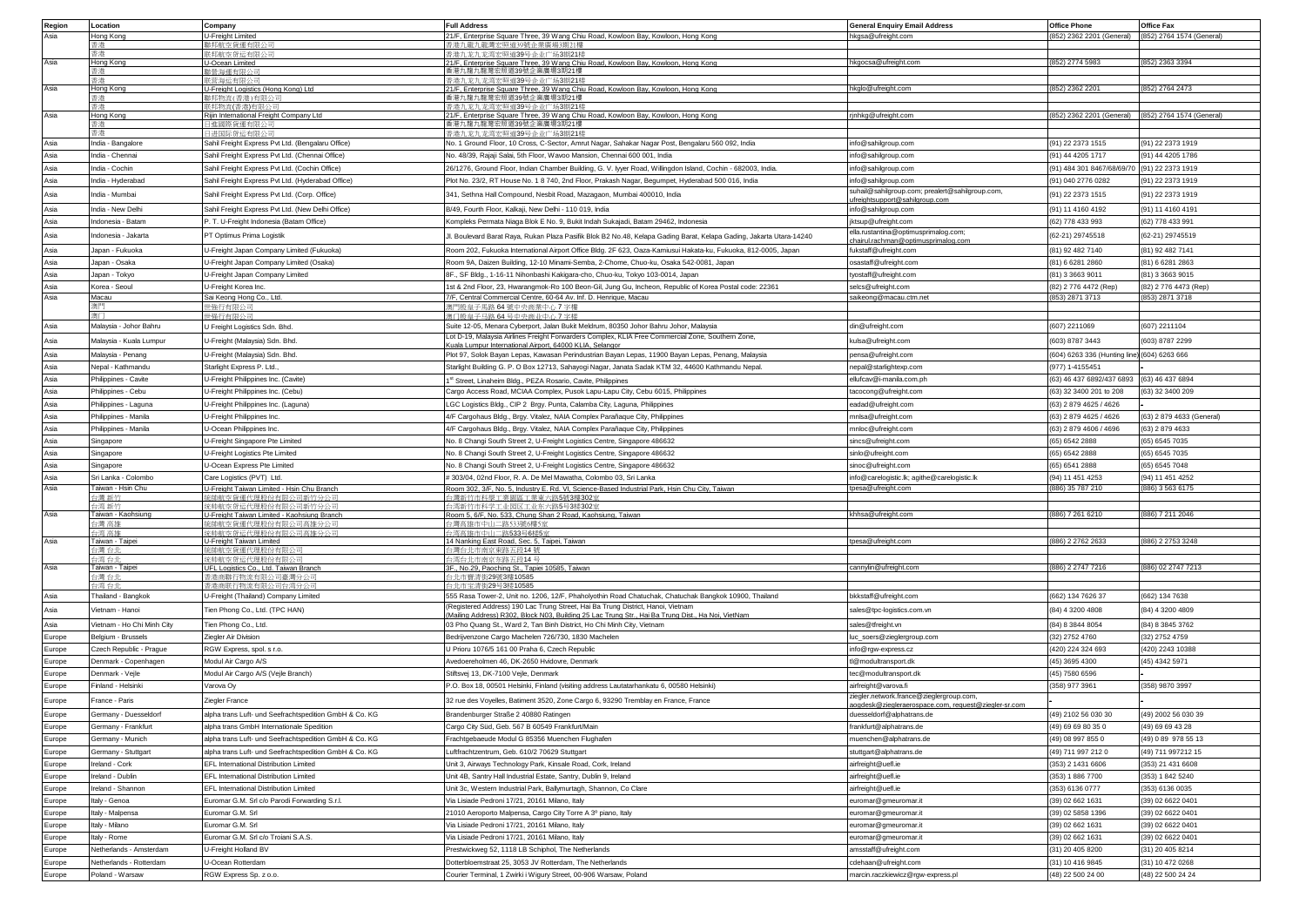| Region | Location                       | Company                                                | <b>Full Address</b>                                                                                                                                                                   | General Enquiry Email Address                               | <b>Office Phone</b>                                 | <b>Office Fax</b>                                   |
|--------|--------------------------------|--------------------------------------------------------|---------------------------------------------------------------------------------------------------------------------------------------------------------------------------------------|-------------------------------------------------------------|-----------------------------------------------------|-----------------------------------------------------|
| Asia   | Hong Kong                      | J-Freight Limited                                      | 21/F, Enterprise Square Three, 39 Wang Chiu Road, Kowloon Bay, Kowloon, Hong Kong                                                                                                     | hkgsa@ufreight.com                                          |                                                     | (852) 2362 2201 (General) (852) 2764 1574 (General) |
|        | 香港                             | 辦邦航空貨運有限公司                                             | 香港九龍九龍灣宏照道39號企業廣場3期21樓                                                                                                                                                                |                                                             |                                                     |                                                     |
| Asia   | 香港<br>Hong Kong                | 联邦航空货运有限公司                                             | 香港九龙九龙湾宏照道39号企业广场3期21楼                                                                                                                                                                | hkgocsa@ufreight.com                                        | 852) 2774 5983                                      | (852) 2363 3394                                     |
|        |                                | U-Ocean Limited<br>经海運有限公                              | 21/F, Enterprise Square Three, 39 Wang Chiu Road, Kowloon Bay, Kowloon, Hong Kong<br>香港九龍九龍灣宏照道39號企業廣場3期21樓                                                                           |                                                             |                                                     |                                                     |
| Asia   |                                | (营海运有限-                                                | 昏港九龙九龙湾宏照道39号企业广场3期21#                                                                                                                                                                |                                                             |                                                     |                                                     |
|        | long Kong                      | J-Freight Logistics (Hong Kong) Ltd                    | 21/F, Enterprise Square Three, 39 Wang Chiu Road, Kowloon Bay, Kowloon, Hong Kong                                                                                                     | ikglo@ufreight.com                                          | 852) 2362 2201                                      | (852) 2764 2473                                     |
|        |                                |                                                        | 香港九龍九龍灣宏照道39號企業廣場3期21樓                                                                                                                                                                |                                                             |                                                     |                                                     |
|        |                                | 非化物流(香港)有                                              | 香港九龙九龙湾宏昭道39号企业广场3期21#                                                                                                                                                                |                                                             |                                                     |                                                     |
| Asia   | Hong Kong<br>香港                | Rijin International Freight Company Ltd<br>日進國際貨運有限公司  | 21/F, Enterprise Square Three, 39 Wang Chiu Road, Kowloon Bay, Kowloon, Hong Kong<br>香港九龍九龍灣宏照道39號企業廣場3期21樓                                                                           | rjnhkg@ufreight.com                                         | (852) 2362 2201 (General) (852) 2764 1574 (General) |                                                     |
|        |                                | 1 讲国际货运有限公司                                            | 香港九龙九龙湾宏照道39号企业广场3期21楼                                                                                                                                                                |                                                             |                                                     |                                                     |
| Asia   | India - Bangalore              | Sahil Freight Express Pvt Ltd. (Bengalaru Office)      | No. 1 Ground Floor, 10 Cross, C-Sector, Amrut Nagar, Sahakar Nagar Post, Bengalaru 560 092, India                                                                                     | info@sahilgroup.com                                         | (91) 22 2373 1515                                   | (91) 22 2373 1919                                   |
| Asia   | ndia - Chennai                 | Sahil Freight Express Pvt Ltd. (Chennai Office)        | No. 48/39, Rajaji Salai, 5th Floor, Wavoo Mansion, Chennai 600 001, India                                                                                                             | info@sahilgroup.com                                         | (91) 44 4205 1717                                   | (91) 44 4205 1786                                   |
|        |                                |                                                        |                                                                                                                                                                                       |                                                             |                                                     |                                                     |
| Asia   | าdia - Cochin                  | ahil Freight Express Pvt Ltd. (Cochin Office)          | 26/1276, Ground Floor, Indian Chamber Building, G. V. lyyer Road, Willingdon Island, Cochin - 682003, India.                                                                          | nfo@sahilgroup.com                                          | 91) 484 301 8467/68/69/70                           | (91) 22 2373 1919                                   |
| Asia   | ndia - Hyderabad               | Sahil Freight Express Pvt Ltd. (Hyderabad Office)      | Plot No. 23/2, RT House No. 1 8 740, 2nd Floor, Prakash Nagar, Begumpet, Hyderabad 500 016, India                                                                                     | info@sahilgroup.com                                         | (91) 040 2776 0282                                  | (91) 22 2373 1919                                   |
| Asia   | ndia - Mumbai                  | Sahil Freight Express Pvt Ltd. (Corp. Office)          | 341, Sethna Hall Compound, Nesbit Road, Mazagaon, Mumbai 400010, India                                                                                                                | suhail@sahilgroup.com; prealert@sahilgroup.com,             | (91) 22 2373 1515                                   | (91) 22 2373 1919                                   |
| Asia   | India - New Delhi              | Sahil Freight Express Pvt Ltd. (New Delhi Office)      | B/49, Fourth Floor, Kalkaji, New Delhi - 110 019, India                                                                                                                               | freightsupport@sahilgroup.con                               | (91) 11 4160 4192                                   | (91) 11 4160 4191                                   |
|        |                                |                                                        |                                                                                                                                                                                       | info@sahilgroup.com                                         |                                                     |                                                     |
| Asia   | ndonesia - Batam               | '. T. U-Freight Indonesia (Batam Office)               | Kompleks Permata Niaga Blok E No. 9, Bukit Indah Sukajadi, Batam 29462, Indonesia                                                                                                     | iktsup@ufreight.com                                         | (62) 778 433 993                                    | (62) 778 433 991                                    |
| Asia   | ndonesia - Jakarta             | PT Optimus Prima Logistik                              | Jl. Boulevard Barat Raya, Rukan Plaza Pasifik Blok B2 No.48, Kelapa Gading Barat, Kelapa Gading, Jakarta Utara-14240                                                                  | ella.rustantina@optimusprimalog.com;                        | (62-21) 29745518                                    | (62-21) 29745519                                    |
| Asia   | lapan - Fukuoka                | J-Freight Japan Company Limited (Fukuoka)              | Room 202, Fukuoka International Airport Office Bldg. 2F 623, Oaza-Kamiusui Hakata-ku, Fukuoka, 812-0005, Japan                                                                        | hairul.rachman@optimusprimalog.com<br>fukstaff@ufreight.com | (81) 92 482 7140                                    | (81) 92 482 7141                                    |
|        |                                |                                                        |                                                                                                                                                                                       |                                                             |                                                     |                                                     |
| Asia   | lapan - Osaka                  | J-Freight Japan Company Limited (Osaka)                | Room 9A, Daizen Building, 12-10 Minami-Semba, 2-Chome, Chuo-ku, Osaka 542-0081, Japan                                                                                                 | osastaff@ufreight.com                                       | (81) 6 6281 2860                                    | (81) 6 6281 2863                                    |
| Asia   | apan - Tokyo                   | J-Freight Japan Company Limited                        | 8F., SF Bldg., 1-16-11 Nihonbashi Kakigara-cho, Chuo-ku, Tokyo 103-0014, Japan                                                                                                        | yostaff@ufreight.com                                        | (81) 3 3663 9011                                    | (81) 3 3663 9015                                    |
| Asia   | Korea - Seoul                  | U-Freight Korea Inc.                                   | 1st & 2nd Floor, 23, Hwarangmok-Ro 100 Beon-Gil, Jung Gu, Incheon, Republic of Korea Postal code: 22361                                                                               | selcs@ufreight.com                                          | (82) 2 776 4472 (Rep)                               | (82) 2 776 4473 (Rep)                               |
| Asia   | Macau                          | <u>Sai Keong Hong Co., Ltd.</u>                        | 7/F, Central Commercial Centre, 60-64 Av. Inf. D. Henrique, Macau                                                                                                                     | saikeong@macau.ctm.net                                      | 853) 2871 3713                                      | (853) 2871 3718                                     |
|        |                                | 地行有限                                                   | 惠門殷皇子馬路 64 號中央商業中心 7 字樓                                                                                                                                                               |                                                             |                                                     |                                                     |
|        |                                | 福行有限                                                   | 电门段皇子马路 64 号中央商业中心 7 字楼                                                                                                                                                               |                                                             |                                                     |                                                     |
| Asia   | Malaysia - Johor Bahru         | J Freight Logistics Sdn. Bhd.                          | Suite 12-05, Menara Cyberport, Jalan Bukit Meldrum, 80350 Johor Bahru Johor, Malaysia                                                                                                 | din@ufreight.com                                            | (607) 2211069                                       | (607) 2211104                                       |
| Asia   | <i>Aalaysia - Kuala Lumpur</i> | J-Freight (Malaysia) Sdn. Bhd.                         | Lot D-19, Malaysia Airlines Freight Forwarders Complex, KLIA Free Commercial Zone, Southern Zone,<br>ala Lumpur International Airport, 64000 KLIA, Selango                            | kulsa@ufreight.com                                          | (603) 8787 3443                                     | (603) 8787 2299                                     |
| Asia   |                                | J-Freight (Malaysia) Sdn. Bhd.                         | Plot 97, Solok Bayan Lepas, Kawasan Perindustrian Bayan Lepas, 11900 Bayan Lepas, Penang, Malaysia                                                                                    |                                                             |                                                     |                                                     |
|        | Malaysia - Penang              |                                                        |                                                                                                                                                                                       | bensa@ufreight.com                                          | (604) 6263 336 (Hunting line) (604) 6263 666        |                                                     |
| Asia   | Nepal - Kathmandu              | Starlight Express P. Ltd                               | Starlight Building G. P. O Box 12713, Sahayogi Nagar, Janata Sadak KTM 32, 44600 Kathmandu Nepal                                                                                      | nepal@starlightexp.com                                      | (977) 1-4155451                                     |                                                     |
| Asia   | hilippines - Cavite            | J-Freight Philippines Inc. (Cavite)                    | 1 <sup>st</sup> Street, Linaheim Bldg., PEZA Rosario, Cavite, Philippines                                                                                                             | ellufcav@i-manila.com.ph                                    | (63) 46 437 6892/437 6893                           | (63) 46 437 6894                                    |
| Asia   | hilippines - Cebu              | J-Freight Philippines Inc. (Cebu)                      | Cargo Access Road, MCIAA Complex, Pusok Lapu-Lapu City, Cebu 6015, Philippines                                                                                                        | acocong@ufreight.com                                        | (63) 32 3400 201 to 208                             | (63) 32 3400 209                                    |
| Asia   | Philippines - Laguna           | J-Freight Philippines Inc. (Laguna)                    | LGC Logistics Bldg., CIP 2 Brgy. Punta, Calamba City, Laguna, Philippines                                                                                                             | eadad@ufreight.com                                          | (63) 2 879 4625 / 4626                              |                                                     |
| Asia   | Philippines - Manila           | J-Freight Philippines Inc                              | 4/F Cargohaus Bldg., Brgy. Vitalez, NAIA Complex Parañaque City, Philippines                                                                                                          | nnlsa@ufreight.com                                          | (63) 2 879 4625 / 4626                              | (63) 2 879 4633 (General)                           |
|        |                                |                                                        |                                                                                                                                                                                       |                                                             |                                                     |                                                     |
| Asia   | hilippines - Manila            | J-Ocean Philippines Inc.                               | 4/F Cargohaus Bldg., Brgy. Vitalez, NAIA Complex Parañaque City, Philippines                                                                                                          | mnloc@ufreight.com                                          | (63) 2 879 4606 / 4696                              | (63) 2 879 4633                                     |
| Asia   | Singapore                      | J-Freight Singapore Pte Limited                        | No. 8 Changi South Street 2, U-Freight Logistics Centre, Singapore 486632                                                                                                             | sincs@ufreight.com                                          | (65) 6542 2888                                      | (65) 6545 7035                                      |
| Asia   | Singapore                      | J-Freight Logistics Pte Limited                        | No. 8 Changi South Street 2, U-Freight Logistics Centre, Singapore 486632                                                                                                             | sinlo@ufreight.com                                          | (65) 6542 2888                                      | (65) 6545 7035                                      |
| Asia   | ingapore                       | J-Ocean Express Pte Limited                            | No. 8 Changi South Street 2, U-Freight Logistics Centre, Singapore 486632                                                                                                             | inoc@ufreight.com                                           | (65) 6541 2888                                      | (65) 6545 7048                                      |
| Asia   | Sri Lanka - Colombo            | Care Logistics (PVT) Ltd.                              | #303/04, 02nd Floor, R. A. De Mel Mawatha, Colombo 03, Sri Lanka                                                                                                                      | info@carelogistic.lk; agithe@carelogistic.lk                | (94) 11 451 4253                                    | (94) 11 451 4252                                    |
| Asia   | Taiwan - Hsin Chu              | J-Freight Taiwan Limited - Hsin Chu Branch             | Room 302, 3/F, No. 5, Industry E. Rd. VI, Science-Based Industrial Park, Hsin Chu City, Taiwan                                                                                        | pesa@ufreight.com                                           | 886) 35 787 210                                     | (886) 3 563 6175                                    |
|        | - 帯 新材                         | 的解恋货通代理吗份有限公司新竹分公                                      | 台灣新竹市科學工業園區工業東六路5號3樓302室                                                                                                                                                              |                                                             |                                                     |                                                     |
|        | ※ 新化                           | 的血体变货运代理股份有限公司新竹分公                                     | 台湾新竹市科学工业园区工业东六路5号3楼3027                                                                                                                                                              |                                                             |                                                     |                                                     |
| Asia   | Taiwan - Kaohsiung             | U-Freight Taiwan Limited - Kaohsiung Branch            | Room 5, 6/F, No. 533, Chung Shan 2 Road, Kaohsiung, Taiwan                                                                                                                            | khhsa@ufreight.com                                          | 886) 7 261 6210                                     | (886) 7 211 2046                                    |
|        | 試高 鑑台<br>・湾 高雄                 | 统帥航空貨運代理股份有限公司高雄分公司                                    | 台灣高雄市中山二路533號6樓5室                                                                                                                                                                     |                                                             |                                                     |                                                     |
| Asia   | <u> Taiwan - Taipei</u>        | 统帅航空货运代理股份有限公司高雄分公!<br>J-Freight Taiwan Limited        | 台湾高雄市中山二路533号6楼5室<br>14 Nanking East Road, Sec. 5, Taipei, Taiwan                                                                                                                     | pesa@ufreight.com                                           | 886) 2 2762 2633                                    | (886) 2 2753 3248                                   |
|        | :滞 台非                          | 油航空貨運代理股份有限公                                           | 台灣台北市南京東路五段14號                                                                                                                                                                        |                                                             |                                                     |                                                     |
|        |                                |                                                        | 北市南京东路五段14日                                                                                                                                                                           |                                                             |                                                     |                                                     |
| Asia   | Taiwan - Taipei                | UFL Logistics Co., Ltd. Taiwan Branch                  | 3F., No.29, Paoching St., Tapiei 10585, Taiwan                                                                                                                                        | cannylin@ufreight.com                                       | 886) 2 2747 7216                                    | (886) 02 2747 7213                                  |
|        | 遭合                             | 身港商聯行物流有限公司臺灣分                                         | 注市寶清街29號3樓10585                                                                                                                                                                       |                                                             |                                                     |                                                     |
|        |                                |                                                        | 计市宝清街29号3楼10585                                                                                                                                                                       |                                                             |                                                     |                                                     |
| Asia   | Thailand - Bangkok             | J-Freight (Thailand) Company Limited                   | 555 Rasa Tower-2, Unit no. 1206, 12/F, Phaholyothin Road Chatuchak, Chatuchak Bangkok 10900, Thailand                                                                                 | bkkstaff@ufreight.com                                       | 662) 134 7626 37                                    | (662) 134 7638                                      |
| Asia   | 'ietnam - Hanoi                | Tien Phong Co., Ltd. (TPC HAN)                         | (Registered Address) 190 Lac Trung Street, Hai Ba Trung District, Hanoi, Vietnam<br>Mailing Address) R302, Block N03, Building 25 Lac Trung Str., Hai Ba Trung Dist., Ha Noi, VietNam | sales@tpc-logistics.com.vn                                  | (84) 4 3200 4808                                    | (84) 4 3200 4809                                    |
| Asia   | 'ietnam - Ho Chi Minh City     | lien Phong Co., Ltd.                                   | 03 Pho Quang St., Ward 2, Tan Binh District, Ho Chi Minh City, Vietnam                                                                                                                | sales@tfreight.vn                                           | (84) 8 3844 8054                                    | (84) 8 3845 3762                                    |
| Europe | Belgium - Brussels             | Ziegler Air Division                                   | Bedrijvenzone Cargo Machelen 726/730, 1830 Machelen                                                                                                                                   |                                                             | (32) 2752 4760                                      | (32) 2752 4759                                      |
|        |                                |                                                        |                                                                                                                                                                                       | luc_soers@zieglergroup.com                                  |                                                     |                                                     |
| Europe | Czech Republic - Prague        | RGW Express, spol. s r.o.                              | U Prioru 1076/5 161 00 Praha 6, Czech Republic                                                                                                                                        | nfo@rgw-express.cz                                          | (420) 224 324 693                                   | (420) 2243 10388                                    |
| Europe | enmark - Copenhagen            | <b>Modul Air Cargo A/S</b>                             | Avedoereholmen 46, DK-2650 Hvidovre, Denmark                                                                                                                                          | l@modultransport.dk                                         | 45) 3695 4300                                       | (45) 4342 5971                                      |
| Europe | )enmark - Vejle                | Modul Air Cargo A/S (Vejle Branch)                     | Stiftsvej 13, DK-7100 Vejle, Denmark                                                                                                                                                  | tec@modultransport.dk                                       | (45) 7580 6596                                      |                                                     |
| Europe | Finland - Helsinki             | /arova Oy                                              | P.O. Box 18, 00501 Helsinki, Finland (visiting address Lautatarhankatu 6, 00580 Helsinki)                                                                                             | airfreight@varova.fi                                        | (358) 977 3961                                      | (358) 9870 3997                                     |
|        |                                |                                                        |                                                                                                                                                                                       | ziegler.network.france@zieglergroup.com,                    |                                                     |                                                     |
| Europe | France - Paris                 | Ziegler France                                         | 32 rue des Voyelles, Batiment 3520, Zone Cargo 6, 93290 Tremblay en France, France                                                                                                    | aogdesk@ziegleraerospace.com, request@ziegler-sr.com        |                                                     |                                                     |
| Europe | Germany - Duesseldorf          | alpha trans Luft- und Seefrachtspedition GmbH & Co. KG | Brandenburger Straße 2 40880 Ratingen                                                                                                                                                 | duesseldorf@alphatrans.de                                   | (49) 2102 56 030 30                                 | (49) 2002 56 030 39                                 |
| Europe | Germany - Frankfurt            | alpha trans GmbH Internationale Spedition              | Cargo City Süd, Geb. 567 B 60549 Frankfurt/Main                                                                                                                                       | frankfurt@alphatrans.de                                     | (49) 69 69 80 35 0                                  | (49) 69 69 43 28                                    |
| Europe | Germany - Munich               | alpha trans Luft- und Seefrachtspedition GmbH & Co. KG | Frachtgebaeude Modul G 85356 Muenchen Flughafen                                                                                                                                       | muenchen@alphatrans.de                                      | (49) 08 997 855 0                                   | (49) 0 89 978 55 13                                 |
| Europe |                                | alpha trans Luft- und Seefrachtspedition GmbH & Co. KG | Luftfrachtzentrum, Geb. 610/2 70629 Stuttgart                                                                                                                                         | stuttgart@alphatrans.de                                     | (49) 711 997 212 0                                  | (49) 711 997212 15                                  |
|        | Germany - Stuttgart            |                                                        |                                                                                                                                                                                       |                                                             |                                                     |                                                     |
| Europe | reland - Cork                  | EFL International Distribution Limited                 | Unit 3, Airways Technology Park, Kinsale Road, Cork, Ireland                                                                                                                          | airfreight@uefl.ie                                          | 353) 2 1431 6606                                    | (353) 21 431 6608                                   |
| Europe | Ireland - Dublin               | EFL International Distribution Limited                 | Unit 4B, Santry Hall Industrial Estate, Santry, Dublin 9, Ireland                                                                                                                     | airfreight@uefl.ie                                          | (353) 1 886 7700                                    | (353) 1 842 5240                                    |
| Europe | reland - Shannon               | EFL International Distribution Limited                 | Unit 3c, Western Industrial Park, Ballymurtagh, Shannon, Co Clare                                                                                                                     | airfreight@uefl.ie                                          | (353) 6136 0777                                     | (353) 6136 0035                                     |
| Europe | Italy - Genoa                  | Euromar G.M. Srl c/o Parodi Forwarding S.r.l           | Via Lisiade Pedroni 17/21, 20161 Milano, Italy                                                                                                                                        | euromar@gmeuromar.it                                        | (39) 02 662 1631                                    | (39) 02 6622 0401                                   |
| Europe | Italy - Malpensa               | Euromar G.M. Srl                                       | 21010 Aeroporto Malpensa, Cargo City Torre A 3º piano, Italy                                                                                                                          | euromar@gmeuromar.it                                        | (39) 02 5858 1396                                   | (39) 02 6622 0401                                   |
| Europe | Italy - Milano                 | Euromar G.M. Srl                                       | Via Lisiade Pedroni 17/21, 20161 Milano, Italy                                                                                                                                        | euromar@gmeuromar.it                                        | (39) 02 662 1631                                    | (39) 02 6622 0401                                   |
|        |                                |                                                        |                                                                                                                                                                                       |                                                             |                                                     |                                                     |
| Europe | Italy - Rome                   | Euromar G.M. Srl c/o Troiani S.A.S.                    | Via Lisiade Pedroni 17/21, 20161 Milano, Italy                                                                                                                                        | uromar@gmeuromar.it                                         | (39) 02 662 1631                                    | (39) 02 6622 0401                                   |
| Europe | Netherlands - Amsterdam        | J-Freight Holland BV                                   | Prestwickweg 52, 1118 LB Schiphol, The Netherlands                                                                                                                                    | amsstaff@ufreight.com                                       | (31) 20 405 8200                                    | (31) 20 405 8214                                    |
| Europe | <b>Vetherlands - Rotterdam</b> | J-Ocean Rotterdam                                      | Dotterbloemstraat 25, 3053 JV Rotterdam, The Netherlands                                                                                                                              | cdehaan@ufreight.com                                        | (31) 10 416 9845                                    | (31) 10 472 0268                                    |
| Europe | Poland - Warsaw                | RGW Express Sp. z o.o.                                 | Courier Terminal, 1 Zwirki i Wigury Street, 00-906 Warsaw, Poland                                                                                                                     | marcin.raczkiewicz@rgw-express.pl                           | (48) 22 500 24 00                                   | (48) 22 500 24 24                                   |
|        |                                |                                                        |                                                                                                                                                                                       |                                                             |                                                     |                                                     |